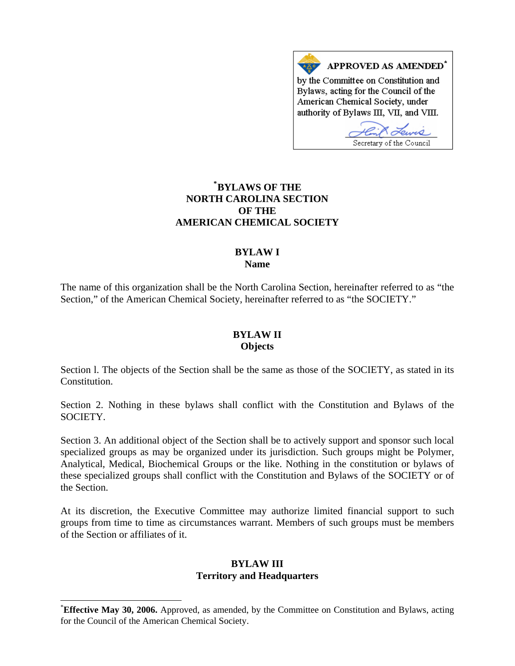

## **NORTH CAROLINA SECTION AMERICAN CHEMICAL SOCIETY \* BYLAWS OF THE OF THE**

# **BYLAW I Name**

The name of this organization shall be the North Carolina Section, hereinafter referred to as "the Section," of the American Chemical Society, hereinafter referred to as "the SOCIETY."

# **BYLAW II Objects**

Section 1. The objects of the Section shall be the same as those of the SOCIETY, as stated in its Constitution.

Section 2. Nothing in these bylaws shall conflict with the Constitution and Bylaws of the SOCIETY.

these specialized groups shall conflict with the Constitution and Bylaws of the SOCIETY or of the Section. Section 3. An additional object of the Section shall be to actively support and sponsor such local specialized groups as may be organized under its jurisdiction. Such groups might be Polymer, Analytical, Medical, Biochemical Groups or the like. Nothing in the constitution or bylaws of

groups from time to time as circumstances warrant. Members of such groups must be members of the Section or affiliates of it. At its discretion, the Executive Committee may authorize limited financial support to such

### **Territory and Headquarters BYLAW III**

 $\overline{a}$ 

<sup>\*</sup> **Effective May 30, 2006.** Approved, as amended, by the Committee on Constitution and Bylaws, acting for the Council of the American Chemical Society.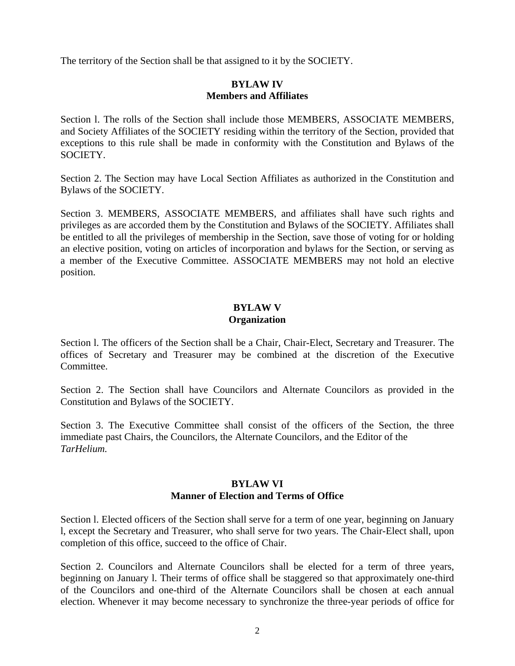The territory of the Section shall be that assigned to it by the SOCIETY.

#### **Members and Affiliates BYLAW IV**

exceptions to this rule shall be made in conformity with the Constitution and Bylaws of the SOCIETY. Section l. The rolls of the Section shall include those MEMBERS, ASSOCIATE MEMBERS, and Society Affiliates of the SOCIETY residing within the territory of the Section, provided that

Section 2. The Section may have Local Section Affiliates as authorized in the Constitution and ylaws of the SOCIETY. B

a member of the Executive Committee. ASSOCIATE MEMBERS may not hold an elective position. Section 3. MEMBERS, ASSOCIATE MEMBERS, and affiliates shall have such rights and privileges as are accorded them by the Constitution and Bylaws of the SOCIETY. Affiliates shall be entitled to all the privileges of membership in the Section, save those of voting for or holding an elective position, voting on articles of incorporation and bylaws for the Section, or serving as

### **Organization BYLAW V**

offices of Secretary and Treasurer may be combined at the discretion of the Executive Committee. Section l. The officers of the Section shall be a Chair, Chair-Elect, Secretary and Treasurer. The

Section 2. The Section shall have Councilors and Alternate Councilors as provided in the Constitution and Bylaws of the SOCIETY.

Section 3. The Executive Committee shall consist of the officers of the Section, the three immediate past Chairs, the Councilors, the Alternate Councilors, and the Editor of the *arHelium. T*

### **Manner of Election and Terms of Office BYLAW VI**

l, except the Secretary and Treasurer, who shall serve for two years. The Chair-Elect shall, upon completion of this office, succeed to the office of Chair. Section l. Elected officers of the Section shall serve for a term of one year, beginning on January

Section 2. Councilors and Alternate Councilors shall be elected for a term of three years, beginning on January l. Their terms of office shall be staggered so that approximately one-third of the Councilors and one-third of the Alternate Councilors shall be chosen at each annual election. Whenever it may become necessary to synchronize the three-year periods of office for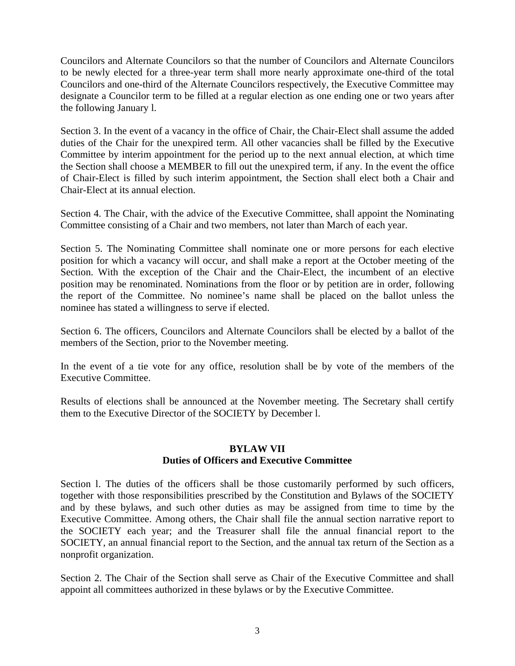Councilors and Alternate Councilors so that the number of Councilors and Alternate Councilors to be newly elected for a three-year term shall more nearly approximate one-third of the total Councilors and one-third of the Alternate Councilors respectively, the Executive Committee may designate a Councilor term to be filled at a regular election as one ending one or two years after the following January l.

of Chair-Elect is filled by such interim appointment, the Section shall elect both a Chair and Chair-Elect at its annual election. Section 3. In the event of a vacancy in the office of Chair, the Chair-Elect shall assume the added duties of the Chair for the unexpired term. All other vacancies shall be filled by the Executive Committee by interim appointment for the period up to the next annual election, at which time the Section shall choose a MEMBER to fill out the unexpired term, if any. In the event the office

Section 4. The Chair, with the advice of the Executive Committee, shall appoint the Nominating Committee consisting of a Chair and two members, not later than March of each year.

the report of the Committee. No nominee's name shall be placed on the ballot unless the nominee has stated a willingness to serve if elected. Section 5. The Nominating Committee shall nominate one or more persons for each elective position for which a vacancy will occur, and shall make a report at the October meeting of the Section. With the exception of the Chair and the Chair-Elect, the incumbent of an elective position may be renominated. Nominations from the floor or by petition are in order, following

Section 6. The officers, Councilors and Alternate Councilors shall be elected by a ballot of the members of the Section, prior to the November meeting.

In the event of a tie vote for any office, resolution shall be by vote of the members of the xecutive Committee. E

Results of elections shall be announced at the November meeting. The Secretary shall certify them to the Executive Director of the SOCIETY by December l.

### **Duties of Officers and Executive Committee BYLAW VII**

SOCIETY, an annual financial report to the Section, and the annual tax return of the Section as a nonprofit organization. Section l. The duties of the officers shall be those customarily performed by such officers, together with those responsibilities prescribed by the Constitution and Bylaws of the SOCIETY and by these bylaws, and such other duties as may be assigned from time to time by the Executive Committee. Among others, the Chair shall file the annual section narrative report to the SOCIETY each year; and the Treasurer shall file the annual financial report to the

appoint all committees authorized in these bylaws or by the Executive Committee. Section 2. The Chair of the Section shall serve as Chair of the Executive Committee and shall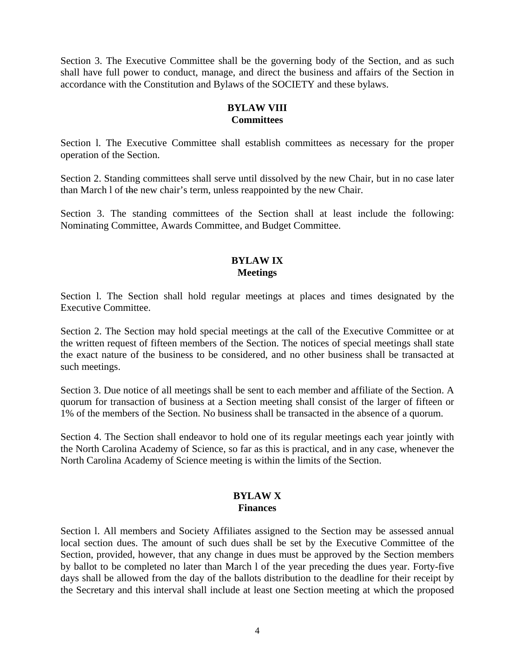Section 3. The Executive Committee shall be the governing body of the Section, and as such shall have full power to conduct, manage, and direct the business and affairs of the Section in accordance with the Constitution and Bylaws of the SOCIETY and these bylaws.

# **BYLAW VIII Committees**

Section l. The Executive Committee shall establish committees as necessary for the proper operation of the Section.

Section 2. Standing committees shall serve until dissolved by the new Chair, but in no case later than March l of the new chair's term, unless reappointed by the new Chair.

Section 3. The standing committees of the Section shall at least include the following: Nominating Committee, Awards Committee, and Budget Committee.

### **BYLAW IX Meetings**

Section l. The Section shall hold regular meetings at places and times designated by the Executive Committee.

Section 2. The Section may hold special meetings at the call of the Executive Committee or at the written request of fifteen members of the Section. The notices of special meetings shall state the exact nature of the business to be considered, and no other business shall be transacted at such meetings.

Section 3. Due notice of all meetings shall be sent to each member and affiliate of the Section. A quorum for transaction of business at a Section meeting shall consist of the larger of fifteen or 1% of the members of the Section. No business shall be transacted in the absence of a quorum.

Section 4. The Section shall endeavor to hold one of its regular meetings each year jointly with the North Carolina Academy of Science, so far as this is practical, and in any case, whenever the North Carolina Academy of Science meeting is within the limits of the Section.

#### **BYLAW X Finances**

Section l. All members and Society Affiliates assigned to the Section may be assessed annual local section dues. The amount of such dues shall be set by the Executive Committee of the Section, provided, however, that any change in dues must be approved by the Section members by ballot to be completed no later than March l of the year preceding the dues year. Forty-five days shall be allowed from the day of the ballots distribution to the deadline for their receipt by the Secretary and this interval shall include at least one Section meeting at which the proposed